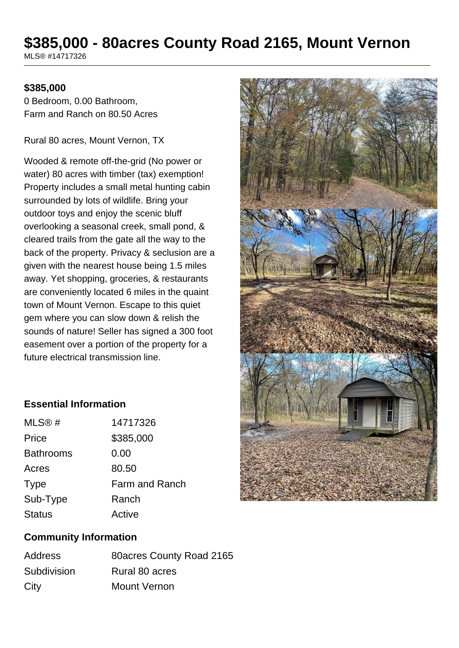# **\$385,000 - 80acres County Road 2165, Mount Vernon**

MLS® #14717326

#### **\$385,000**

0 Bedroom, 0.00 Bathroom, Farm and Ranch on 80.50 Acres

Rural 80 acres, Mount Vernon, TX

Wooded & remote off-the-grid (No power or water) 80 acres with timber (tax) exemption! Property includes a small metal hunting cabin surrounded by lots of wildlife. Bring your outdoor toys and enjoy the scenic bluff overlooking a seasonal creek, small pond, & cleared trails from the gate all the way to the back of the property. Privacy & seclusion are a given with the nearest house being 1.5 miles away. Yet shopping, groceries, & restaurants are conveniently located 6 miles in the quaint town of Mount Vernon. Escape to this quiet gem where you can slow down & relish the sounds of nature! Seller has signed a 300 foot easement over a portion of the property for a future electrical transmission line.

### **Essential Information**

| MLS@#            | 14717326       |
|------------------|----------------|
| Price            | \$385,000      |
| <b>Bathrooms</b> | 0.00           |
| Acres            | 80.50          |
| <b>Type</b>      | Farm and Ranch |
| Sub-Type         | Ranch          |
| <b>Status</b>    | Active         |

### **Community Information**

| <b>Address</b> | 80 acres County Road 2165 |
|----------------|---------------------------|
| Subdivision    | Rural 80 acres            |
| City           | <b>Mount Vernon</b>       |